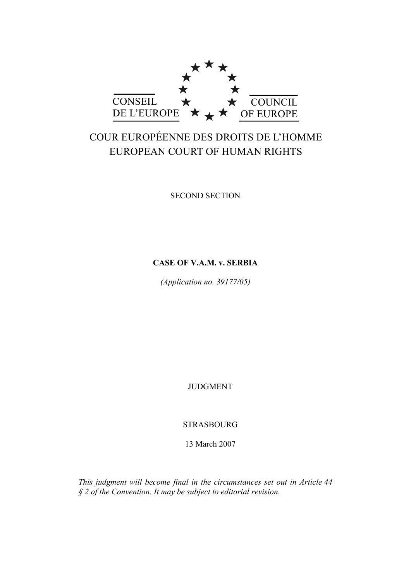

# COUR EUROPÉENNE DES DROITS DE L'HOMME EUROPEAN COURT OF HUMAN RIGHTS

SECOND SECTION

# **CASE OF V.A.M. v. SERBIA**

*(Application no. 39177/05)* 

JUDGMENT

STRASBOURG

13 March 2007

*This judgment will become final in the circumstances set out in Article 44 § 2 of the Convention. It may be subject to editorial revision.*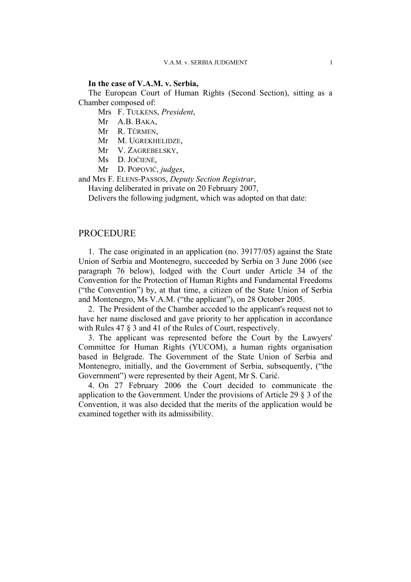# **In the case of V.A.M. v. Serbia,**

The European Court of Human Rights (Second Section), sitting as a Chamber composed of:

Mrs F. TULKENS, *President*,

- Mr A.B. BAKA,
- Mr R. TÜRMEN,
- Mr M. UGREKHELIDZE,
- Mr V. ZAGREBELSKY,
- Ms D. JOČIENĖ,
- Mr D. POPOVIĆ, *judges*,

and Mrs F. ELENS-PASSOS, *Deputy Section Registrar*,

Having deliberated in private on 20 February 2007,

Delivers the following judgment, which was adopted on that date:

# PROCEDURE

1. The case originated in an application (no. 39177/05) against the State Union of Serbia and Montenegro, succeeded by Serbia on 3 June 2006 (see paragraph 76 below), lodged with the Court under Article 34 of the Convention for the Protection of Human Rights and Fundamental Freedoms ("the Convention") by, at that time, a citizen of the State Union of Serbia and Montenegro, Ms V.A.M. ("the applicant"), on 28 October 2005.

2. The President of the Chamber acceded to the applicant's request not to have her name disclosed and gave priority to her application in accordance with Rules 47 § 3 and 41 of the Rules of Court, respectively.

3. The applicant was represented before the Court by the Lawyers' Committee for Human Rights (YUCOM), a human rights organisation based in Belgrade. The Government of the State Union of Serbia and Montenegro, initially, and the Government of Serbia, subsequently, ("the Government") were represented by their Agent, Mr S. Carić.

4. On 27 February 2006 the Court decided to communicate the application to the Government. Under the provisions of Article 29 § 3 of the Convention, it was also decided that the merits of the application would be examined together with its admissibility.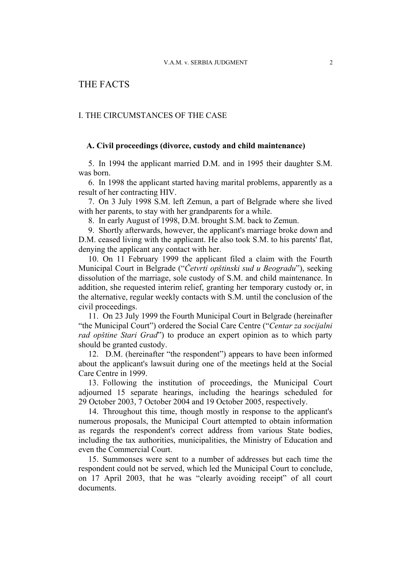# THE FACTS

# I. THE CIRCUMSTANCES OF THE CASE

### **A. Civil proceedings (divorce, custody and child maintenance)**

5. In 1994 the applicant married D.M. and in 1995 their daughter S.M. was born.

6. In 1998 the applicant started having marital problems, apparently as a result of her contracting HIV.

7. On 3 July 1998 S.M. left Zemun, a part of Belgrade where she lived with her parents, to stay with her grandparents for a while.

8. In early August of 1998, D.M. brought S.M. back to Zemun.

9. Shortly afterwards, however, the applicant's marriage broke down and D.M. ceased living with the applicant. He also took S.M. to his parents' flat, denying the applicant any contact with her.

10. On 11 February 1999 the applicant filed a claim with the Fourth Municipal Court in Belgrade ("*Četvrti opštinski sud u Beogradu*"), seeking dissolution of the marriage, sole custody of S.M. and child maintenance. In addition, she requested interim relief, granting her temporary custody or, in the alternative, regular weekly contacts with S.M. until the conclusion of the civil proceedings.

11. On 23 July 1999 the Fourth Municipal Court in Belgrade (hereinafter "the Municipal Court") ordered the Social Care Centre ("*Centar za socijalni rad opštine Stari Grad*") to produce an expert opinion as to which party should be granted custody.

12. D.M. (hereinafter "the respondent") appears to have been informed about the applicant's lawsuit during one of the meetings held at the Social Care Centre in 1999.

13. Following the institution of proceedings, the Municipal Court adjourned 15 separate hearings, including the hearings scheduled for 29 October 2003, 7 October 2004 and 19 October 2005, respectively.

14. Throughout this time, though mostly in response to the applicant's numerous proposals, the Municipal Court attempted to obtain information as regards the respondent's correct address from various State bodies, including the tax authorities, municipalities, the Ministry of Education and even the Commercial Court.

15. Summonses were sent to a number of addresses but each time the respondent could not be served, which led the Municipal Court to conclude, on 17 April 2003, that he was "clearly avoiding receipt" of all court documents.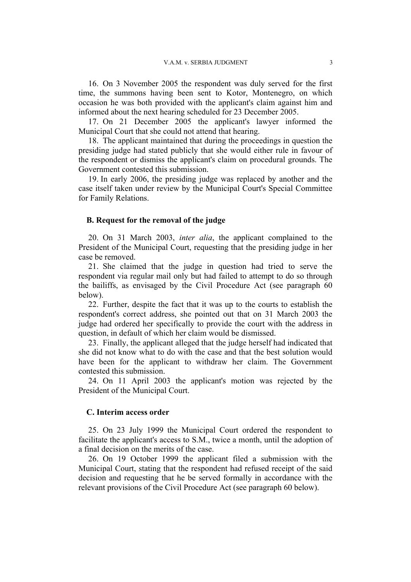16. On 3 November 2005 the respondent was duly served for the first time, the summons having been sent to Kotor, Montenegro, on which occasion he was both provided with the applicant's claim against him and informed about the next hearing scheduled for 23 December 2005.

17. On 21 December 2005 the applicant's lawyer informed the Municipal Court that she could not attend that hearing.

18. The applicant maintained that during the proceedings in question the presiding judge had stated publicly that she would either rule in favour of the respondent or dismiss the applicant's claim on procedural grounds. The Government contested this submission.

19. In early 2006, the presiding judge was replaced by another and the case itself taken under review by the Municipal Court's Special Committee for Family Relations.

#### **B. Request for the removal of the judge**

20. On 31 March 2003, *inter alia*, the applicant complained to the President of the Municipal Court, requesting that the presiding judge in her case be removed.

21. She claimed that the judge in question had tried to serve the respondent via regular mail only but had failed to attempt to do so through the bailiffs, as envisaged by the Civil Procedure Act (see paragraph 60 below).

22. Further, despite the fact that it was up to the courts to establish the respondent's correct address, she pointed out that on 31 March 2003 the judge had ordered her specifically to provide the court with the address in question, in default of which her claim would be dismissed.

23. Finally, the applicant alleged that the judge herself had indicated that she did not know what to do with the case and that the best solution would have been for the applicant to withdraw her claim. The Government contested this submission.

24. On 11 April 2003 the applicant's motion was rejected by the President of the Municipal Court.

### **C. Interim access order**

25. On 23 July 1999 the Municipal Court ordered the respondent to facilitate the applicant's access to S.M., twice a month, until the adoption of a final decision on the merits of the case.

26. On 19 October 1999 the applicant filed a submission with the Municipal Court, stating that the respondent had refused receipt of the said decision and requesting that he be served formally in accordance with the relevant provisions of the Civil Procedure Act (see paragraph 60 below).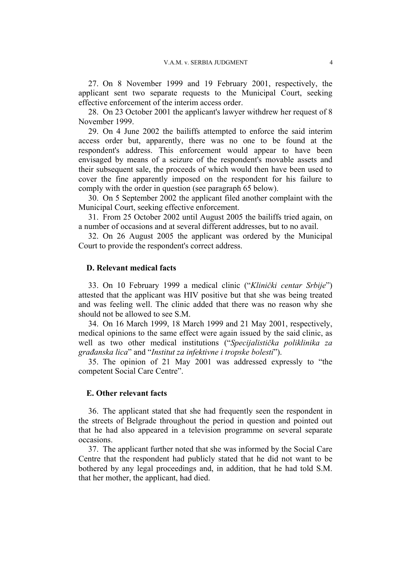27. On 8 November 1999 and 19 February 2001, respectively, the applicant sent two separate requests to the Municipal Court, seeking effective enforcement of the interim access order.

28. On 23 October 2001 the applicant's lawyer withdrew her request of 8 November 1999.

29. On 4 June 2002 the bailiffs attempted to enforce the said interim access order but, apparently, there was no one to be found at the respondent's address. This enforcement would appear to have been envisaged by means of a seizure of the respondent's movable assets and their subsequent sale, the proceeds of which would then have been used to cover the fine apparently imposed on the respondent for his failure to comply with the order in question (see paragraph 65 below).

30. On 5 September 2002 the applicant filed another complaint with the Municipal Court, seeking effective enforcement.

31. From 25 October 2002 until August 2005 the bailiffs tried again, on a number of occasions and at several different addresses, but to no avail.

32. On 26 August 2005 the applicant was ordered by the Municipal Court to provide the respondent's correct address.

### **D. Relevant medical facts**

33. On 10 February 1999 a medical clinic ("*Klinički centar Srbije*") attested that the applicant was HIV positive but that she was being treated and was feeling well. The clinic added that there was no reason why she should not be allowed to see S.M.

34. On 16 March 1999, 18 March 1999 and 21 May 2001, respectively, medical opinions to the same effect were again issued by the said clinic, as well as two other medical institutions ("*Specijalistička poliklinika za građanska lica*" and "*Institut za infektivne i tropske bolesti*").

35. The opinion of 21 May 2001 was addressed expressly to "the competent Social Care Centre".

#### **E. Other relevant facts**

36. The applicant stated that she had frequently seen the respondent in the streets of Belgrade throughout the period in question and pointed out that he had also appeared in a television programme on several separate occasions.

37. The applicant further noted that she was informed by the Social Care Centre that the respondent had publicly stated that he did not want to be bothered by any legal proceedings and, in addition, that he had told S.M. that her mother, the applicant, had died.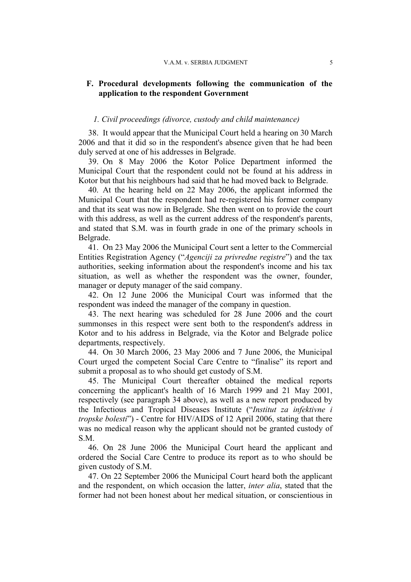# **F. Procedural developments following the communication of the application to the respondent Government**

### *1. Civil proceedings (divorce, custody and child maintenance)*

38. It would appear that the Municipal Court held a hearing on 30 March 2006 and that it did so in the respondent's absence given that he had been duly served at one of his addresses in Belgrade.

39. On 8 May 2006 the Kotor Police Department informed the Municipal Court that the respondent could not be found at his address in Kotor but that his neighbours had said that he had moved back to Belgrade.

40. At the hearing held on 22 May 2006, the applicant informed the Municipal Court that the respondent had re-registered his former company and that its seat was now in Belgrade. She then went on to provide the court with this address, as well as the current address of the respondent's parents, and stated that S.M. was in fourth grade in one of the primary schools in Belgrade.

41. On 23 May 2006 the Municipal Court sent a letter to the Commercial Entities Registration Agency ("*Agenciji za privredne registre*") and the tax authorities, seeking information about the respondent's income and his tax situation, as well as whether the respondent was the owner, founder, manager or deputy manager of the said company.

42. On 12 June 2006 the Municipal Court was informed that the respondent was indeed the manager of the company in question.

43. The next hearing was scheduled for 28 June 2006 and the court summonses in this respect were sent both to the respondent's address in Kotor and to his address in Belgrade, via the Kotor and Belgrade police departments, respectively.

44. On 30 March 2006, 23 May 2006 and 7 June 2006, the Municipal Court urged the competent Social Care Centre to "finalise" its report and submit a proposal as to who should get custody of S.M.

45. The Municipal Court thereafter obtained the medical reports concerning the applicant's health of 16 March 1999 and 21 May 2001, respectively (see paragraph 34 above), as well as a new report produced by the Infectious and Tropical Diseases Institute ("*Institut za infektivne i tropske bolesti*") - Centre for HIV/AIDS of 12 April 2006, stating that there was no medical reason why the applicant should not be granted custody of S.M.

46. On 28 June 2006 the Municipal Court heard the applicant and ordered the Social Care Centre to produce its report as to who should be given custody of S.M.

47. On 22 September 2006 the Municipal Court heard both the applicant and the respondent, on which occasion the latter, *inter alia*, stated that the former had not been honest about her medical situation, or conscientious in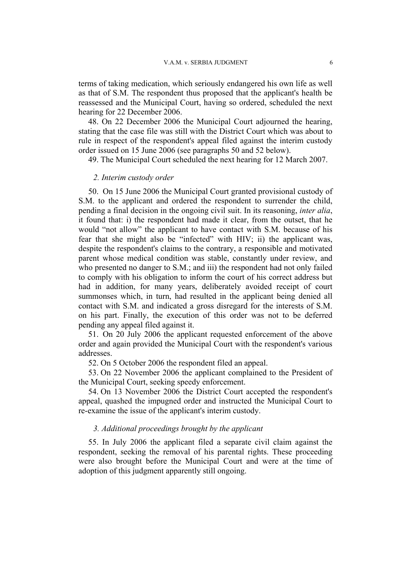terms of taking medication, which seriously endangered his own life as well as that of S.M. The respondent thus proposed that the applicant's health be reassessed and the Municipal Court, having so ordered, scheduled the next hearing for 22 December 2006.

48. On 22 December 2006 the Municipal Court adjourned the hearing, stating that the case file was still with the District Court which was about to rule in respect of the respondent's appeal filed against the interim custody order issued on 15 June 2006 (see paragraphs 50 and 52 below).

49. The Municipal Court scheduled the next hearing for 12 March 2007.

# *2. Interim custody order*

50. On 15 June 2006 the Municipal Court granted provisional custody of S.M. to the applicant and ordered the respondent to surrender the child, pending a final decision in the ongoing civil suit. In its reasoning, *inter alia*, it found that: i) the respondent had made it clear, from the outset, that he would "not allow" the applicant to have contact with S.M. because of his fear that she might also be "infected" with HIV; ii) the applicant was, despite the respondent's claims to the contrary, a responsible and motivated parent whose medical condition was stable, constantly under review, and who presented no danger to S.M.; and iii) the respondent had not only failed to comply with his obligation to inform the court of his correct address but had in addition, for many years, deliberately avoided receipt of court summonses which, in turn, had resulted in the applicant being denied all contact with S.M. and indicated a gross disregard for the interests of S.M. on his part. Finally, the execution of this order was not to be deferred pending any appeal filed against it.

51. On 20 July 2006 the applicant requested enforcement of the above order and again provided the Municipal Court with the respondent's various addresses.

52. On 5 October 2006 the respondent filed an appeal.

53. On 22 November 2006 the applicant complained to the President of the Municipal Court, seeking speedy enforcement.

54. On 13 November 2006 the District Court accepted the respondent's appeal, quashed the impugned order and instructed the Municipal Court to re-examine the issue of the applicant's interim custody.

### *3. Additional proceedings brought by the applicant*

55. In July 2006 the applicant filed a separate civil claim against the respondent, seeking the removal of his parental rights. These proceeding were also brought before the Municipal Court and were at the time of adoption of this judgment apparently still ongoing.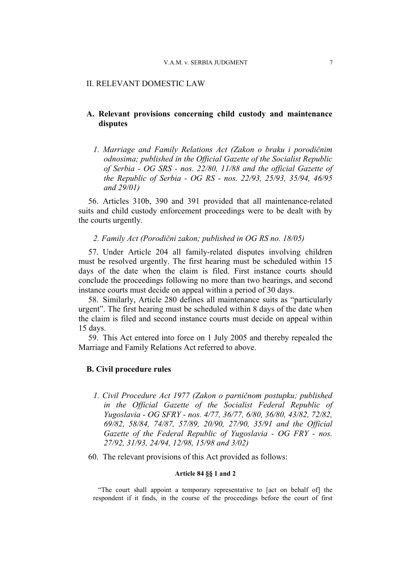#### II. RELEVANT DOMESTIC LAW

# **A. Relevant provisions concerning child custody and maintenance disputes**

*1. Marriage and Family Relations Act (Zakon o braku i porodičnim odnosima; published in the Official Gazette of the Socialist Republic of Serbia - OG SRS - nos. 22/80, 11/88 and the official Gazette of the Republic of Serbia - OG RS - nos. 22/93, 25/93, 35/94, 46/95 and 29/01)* 

56. Articles 310b, 390 and 391 provided that all maintenance-related suits and child custody enforcement proceedings were to be dealt with by the courts urgently.

### *2. Family Act (Porodični zakon; published in OG RS no. 18/05)*

57. Under Article 204 all family-related disputes involving children must be resolved urgently. The first hearing must be scheduled within 15 days of the date when the claim is filed. First instance courts should conclude the proceedings following no more than two hearings, and second instance courts must decide on appeal within a period of 30 days.

58. Similarly, Article 280 defines all maintenance suits as "particularly urgent". The first hearing must be scheduled within 8 days of the date when the claim is filed and second instance courts must decide on appeal within 15 days.

59. This Act entered into force on 1 July 2005 and thereby repealed the Marriage and Family Relations Act referred to above.

# **B. Civil procedure rules**

- *1. Civil Procedure Act 1977 (Zakon o parničnom postupku; published in the Official Gazette of the Socialist Federal Republic of Yugoslavia - OG SFRY - nos. 4/77, 36/77, 6/80, 36/80, 43/82, 72/82, 69/82, 58/84, 74/87, 57/89, 20/90, 27/90, 35/91 and the Official Gazette of the Federal Republic of Yugoslavia - OG FRY - nos. 27/92, 31/93, 24/94, 12/98, 15/98 and 3/02)*
- 60. The relevant provisions of this Act provided as follows:

# **Article 84 §§ 1 and 2**

"The court shall appoint a temporary representative to [act on behalf of] the respondent if it finds, in the course of the proceedings before the court of first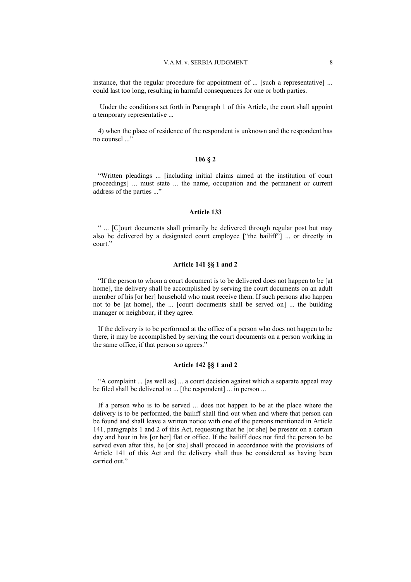instance, that the regular procedure for appointment of ... [such a representative] ... could last too long, resulting in harmful consequences for one or both parties.

 Under the conditions set forth in Paragraph 1 of this Article, the court shall appoint a temporary representative ...

4) when the place of residence of the respondent is unknown and the respondent has no counsel ..."

#### **106 § 2**

"Written pleadings ... [including initial claims aimed at the institution of court proceedings] ... must state ... the name, occupation and the permanent or current address of the parties ..."

#### **Article 133**

" ... [C]ourt documents shall primarily be delivered through regular post but may also be delivered by a designated court employee ["the bailiff"] ... or directly in court."

#### **Article 141 §§ 1 and 2**

"If the person to whom a court document is to be delivered does not happen to be [at home], the delivery shall be accomplished by serving the court documents on an adult member of his [or her] household who must receive them. If such persons also happen not to be [at home], the ... [court documents shall be served on] ... the building manager or neighbour, if they agree.

If the delivery is to be performed at the office of a person who does not happen to be there, it may be accomplished by serving the court documents on a person working in the same office, if that person so agrees."

#### **Article 142 §§ 1 and 2**

"A complaint ... [as well as] ... a court decision against which a separate appeal may be filed shall be delivered to ... [the respondent] ... in person ...

If a person who is to be served ... does not happen to be at the place where the delivery is to be performed, the bailiff shall find out when and where that person can be found and shall leave a written notice with one of the persons mentioned in Article 141, paragraphs 1 and 2 of this Act, requesting that he [or she] be present on a certain day and hour in his [or her] flat or office. If the bailiff does not find the person to be served even after this, he [or she] shall proceed in accordance with the provisions of Article 141 of this Act and the delivery shall thus be considered as having been carried out."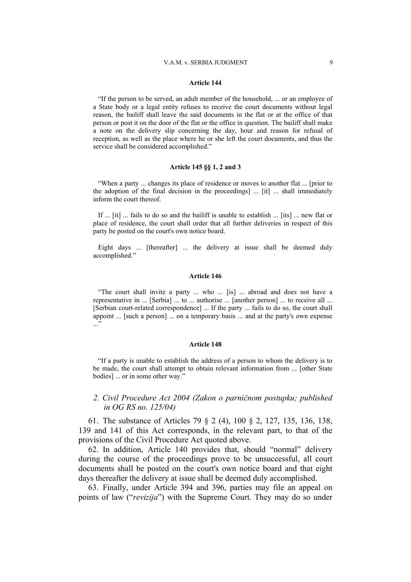#### V.A.M. v. SERBIA JUDGMENT 9

#### **Article 144**

"If the person to be served, an adult member of the household, ... or an employee of a State body or a legal entity refuses to receive the court documents without legal reason, the bailiff shall leave the said documents in the flat or at the office of that person or post it on the door of the flat or the office in question. The bailiff shall make a note on the delivery slip concerning the day, hour and reason for refusal of reception, as well as the place where he or she left the court documents, and thus the service shall be considered accomplished."

#### **Article 145 §§ 1, 2 and 3**

"When a party ... changes its place of residence or moves to another flat ... [prior to the adoption of the final decision in the proceedings] ... [it] ... shall immediately inform the court thereof.

If ... [it] ... fails to do so and the bailiff is unable to establish ... [its] ... new flat or place of residence, the court shall order that all further deliveries in respect of this party be posted on the court's own notice board.

Eight days ... [thereafter] ... the delivery at issue shall be deemed duly accomplished."

#### **Article 146**

"The court shall invite a party ... who ... [is] ... abroad and does not have a representative in ... [Serbia] ... to ... authorise ... [another person] ... to receive all ... [Serbian court-related correspondence] ... If the party ... fails to do so, the court shall appoint ... [such a person] ... on a temporary basis ... and at the party's own expense ..."

#### **Article 148**

"If a party is unable to establish the address of a person to whom the delivery is to be made, the court shall attempt to obtain relevant information from ... [other State bodies] ... or in some other way."

# *2. Civil Procedure Act 2004 (Zakon o parničnom postupku; published in OG RS no. 125/04)*

61. The substance of Articles 79 § 2 (4), 100 § 2, 127, 135, 136, 138, 139 and 141 of this Act corresponds, in the relevant part, to that of the provisions of the Civil Procedure Act quoted above.

62. In addition, Article 140 provides that, should "normal" delivery during the course of the proceedings prove to be unsuccessful, all court documents shall be posted on the court's own notice board and that eight days thereafter the delivery at issue shall be deemed duly accomplished.

63. Finally, under Article 394 and 396, parties may file an appeal on points of law ("*revizija*") with the Supreme Court. They may do so under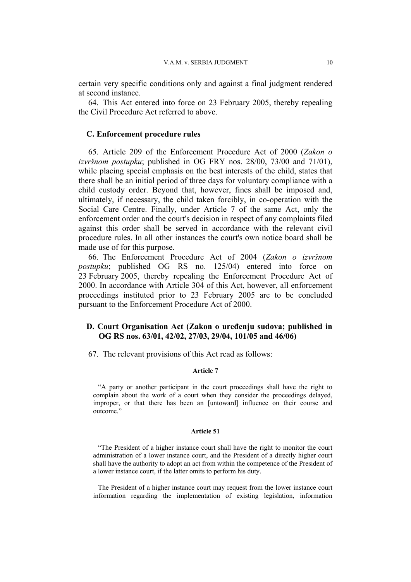certain very specific conditions only and against a final judgment rendered at second instance.

64. This Act entered into force on 23 February 2005, thereby repealing the Civil Procedure Act referred to above.

### **C. Enforcement procedure rules**

65. Article 209 of the Enforcement Procedure Act of 2000 (*Zakon o izvršnom postupku*; published in OG FRY nos. 28/00, 73/00 and 71/01), while placing special emphasis on the best interests of the child, states that there shall be an initial period of three days for voluntary compliance with a child custody order. Beyond that, however, fines shall be imposed and, ultimately, if necessary, the child taken forcibly, in co-operation with the Social Care Centre. Finally, under Article 7 of the same Act, only the enforcement order and the court's decision in respect of any complaints filed against this order shall be served in accordance with the relevant civil procedure rules. In all other instances the court's own notice board shall be made use of for this purpose.

66. The Enforcement Procedure Act of 2004 (*Zakon o izvršnom postupku*; published OG RS no. 125/04) entered into force on 23 February 2005, thereby repealing the Enforcement Procedure Act of 2000. In accordance with Article 304 of this Act, however, all enforcement proceedings instituted prior to 23 February 2005 are to be concluded pursuant to the Enforcement Procedure Act of 2000.

# **D. Court Organisation Act (Zakon o uređenju sudova; published in OG RS nos. 63/01, 42/02, 27/03, 29/04, 101/05 and 46/06)**

67. The relevant provisions of this Act read as follows:

#### **Article 7**

"A party or another participant in the court proceedings shall have the right to complain about the work of a court when they consider the proceedings delayed, improper, or that there has been an [untoward] influence on their course and outcome.'

#### **Article 51**

"The President of a higher instance court shall have the right to monitor the court administration of a lower instance court, and the President of a directly higher court shall have the authority to adopt an act from within the competence of the President of a lower instance court, if the latter omits to perform his duty.

The President of a higher instance court may request from the lower instance court information regarding the implementation of existing legislation, information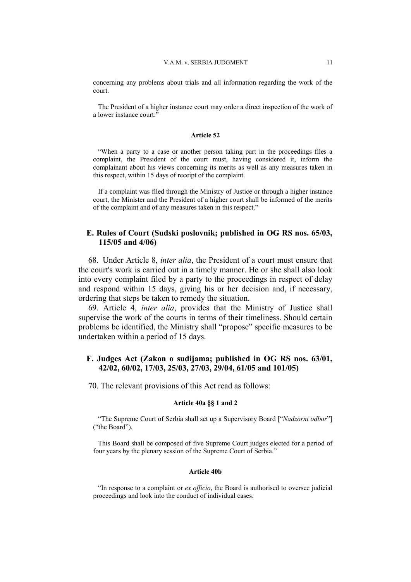concerning any problems about trials and all information regarding the work of the court.

The President of a higher instance court may order a direct inspection of the work of a lower instance court."

#### **Article 52**

"When a party to a case or another person taking part in the proceedings files a complaint, the President of the court must, having considered it, inform the complainant about his views concerning its merits as well as any measures taken in this respect, within 15 days of receipt of the complaint.

If a complaint was filed through the Ministry of Justice or through a higher instance court, the Minister and the President of a higher court shall be informed of the merits of the complaint and of any measures taken in this respect."

# **E. Rules of Court (Sudski poslovnik; published in OG RS nos. 65/03, 115/05 and 4/06)**

68. Under Article 8, *inter alia*, the President of a court must ensure that the court's work is carried out in a timely manner. He or she shall also look into every complaint filed by a party to the proceedings in respect of delay and respond within 15 days, giving his or her decision and, if necessary, ordering that steps be taken to remedy the situation.

69. Article 4, *inter alia*, provides that the Ministry of Justice shall supervise the work of the courts in terms of their timeliness. Should certain problems be identified, the Ministry shall "propose" specific measures to be undertaken within a period of 15 days.

# **F. Judges Act (Zakon o sudijama; published in OG RS nos. 63/01, 42/02, 60/02, 17/03, 25/03, 27/03, 29/04, 61/05 and 101/05)**

70. The relevant provisions of this Act read as follows:

#### **Article 40a §§ 1 and 2**

"The Supreme Court of Serbia shall set up a Supervisory Board ["*Nadzorni odbor*"] ("the Board").

This Board shall be composed of five Supreme Court judges elected for a period of four years by the plenary session of the Supreme Court of Serbia."

#### **Article 40b**

"In response to a complaint or *ex officio*, the Board is authorised to oversee judicial proceedings and look into the conduct of individual cases.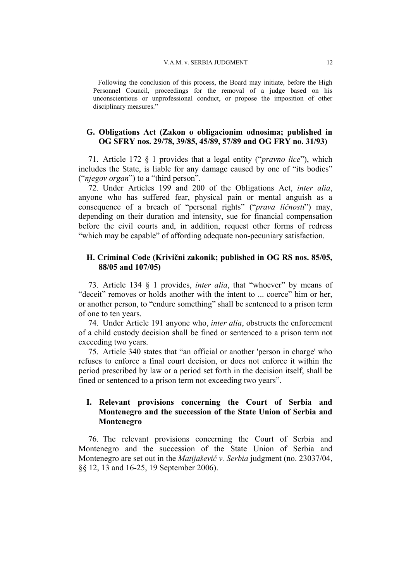Following the conclusion of this process, the Board may initiate, before the High Personnel Council, proceedings for the removal of a judge based on his unconscientious or unprofessional conduct, or propose the imposition of other disciplinary measures."

# **G. Obligations Act (Zakon o obligacionim odnosima; published in OG SFRY nos. 29/78, 39/85, 45/89, 57/89 and OG FRY no. 31/93)**

71. Article 172 § 1 provides that a legal entity ("*pravno lice*"), which includes the State, is liable for any damage caused by one of "its bodies" ("*njegov organ*") to a "third person".

72. Under Articles 199 and 200 of the Obligations Act, *inter alia*, anyone who has suffered fear, physical pain or mental anguish as a consequence of a breach of "personal rights" ("*prava ličnosti*") may, depending on their duration and intensity, sue for financial compensation before the civil courts and, in addition, request other forms of redress "which may be capable" of affording adequate non-pecuniary satisfaction.

# **H. Criminal Code (Krivični zakonik; published in OG RS nos. 85/05, 88/05 and 107/05)**

73. Article 134 § 1 provides, *inter alia*, that "whoever" by means of "deceit" removes or holds another with the intent to ... coerce" him or her, or another person, to "endure something" shall be sentenced to a prison term of one to ten years.

74. Under Article 191 anyone who, *inter alia*, obstructs the enforcement of a child custody decision shall be fined or sentenced to a prison term not exceeding two years.

75. Article 340 states that "an official or another 'person in charge' who refuses to enforce a final court decision, or does not enforce it within the period prescribed by law or a period set forth in the decision itself, shall be fined or sentenced to a prison term not exceeding two years".

# **I. Relevant provisions concerning the Court of Serbia and Montenegro and the succession of the State Union of Serbia and Montenegro**

76. The relevant provisions concerning the Court of Serbia and Montenegro and the succession of the State Union of Serbia and Montenegro are set out in the *Matijašević v. Serbia* judgment (no. 23037/04, §§ 12, 13 and 16-25, 19 September 2006).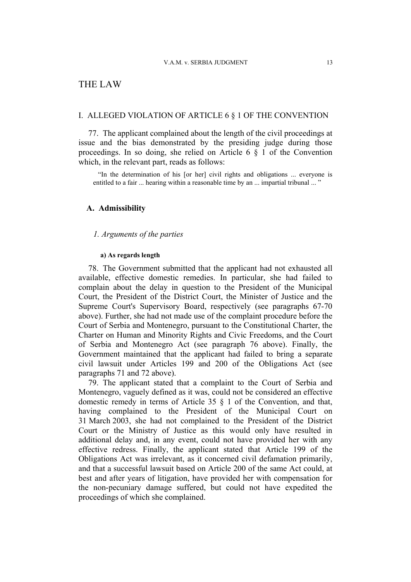# THE LAW

#### I. ALLEGED VIOLATION OF ARTICLE 6 § 1 OF THE CONVENTION

77. The applicant complained about the length of the civil proceedings at issue and the bias demonstrated by the presiding judge during those proceedings. In so doing, she relied on Article 6 § 1 of the Convention which, in the relevant part, reads as follows:

"In the determination of his [or her] civil rights and obligations ... everyone is entitled to a fair ... hearing within a reasonable time by an ... impartial tribunal ... "

# **A. Admissibility**

# *1. Arguments of the parties*

### **a) As regards length**

78. The Government submitted that the applicant had not exhausted all available, effective domestic remedies. In particular, she had failed to complain about the delay in question to the President of the Municipal Court, the President of the District Court, the Minister of Justice and the Supreme Court's Supervisory Board, respectively (see paragraphs 67-70 above). Further, she had not made use of the complaint procedure before the Court of Serbia and Montenegro, pursuant to the Constitutional Charter, the Charter on Human and Minority Rights and Civic Freedoms, and the Court of Serbia and Montenegro Act (see paragraph 76 above). Finally, the Government maintained that the applicant had failed to bring a separate civil lawsuit under Articles 199 and 200 of the Obligations Act (see paragraphs 71 and 72 above).

79. The applicant stated that a complaint to the Court of Serbia and Montenegro, vaguely defined as it was, could not be considered an effective domestic remedy in terms of Article 35 § 1 of the Convention, and that, having complained to the President of the Municipal Court on 31 March 2003, she had not complained to the President of the District Court or the Ministry of Justice as this would only have resulted in additional delay and, in any event, could not have provided her with any effective redress. Finally, the applicant stated that Article 199 of the Obligations Act was irrelevant, as it concerned civil defamation primarily, and that a successful lawsuit based on Article 200 of the same Act could, at best and after years of litigation, have provided her with compensation for the non-pecuniary damage suffered, but could not have expedited the proceedings of which she complained.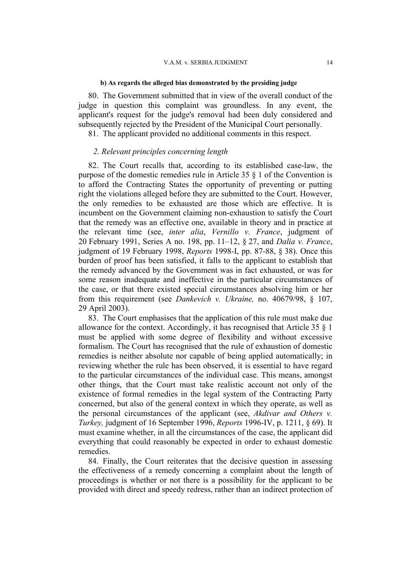#### **b) As regards the alleged bias demonstrated by the presiding judge**

80. The Government submitted that in view of the overall conduct of the judge in question this complaint was groundless. In any event, the applicant's request for the judge's removal had been duly considered and subsequently rejected by the President of the Municipal Court personally.

81. The applicant provided no additional comments in this respect.

### *2. Relevant principles concerning length*

82. The Court recalls that, according to its established case-law, the purpose of the domestic remedies rule in Article 35 § 1 of the Convention is to afford the Contracting States the opportunity of preventing or putting right the violations alleged before they are submitted to the Court. However, the only remedies to be exhausted are those which are effective. It is incumbent on the Government claiming non-exhaustion to satisfy the Court that the remedy was an effective one, available in theory and in practice at the relevant time (see, *inter alia*, *Vernillo v. France*, judgment of 20 February 1991, Series A no. 198, pp. 11–12, § 27, and *Dalia v. France*, judgment of 19 February 1998, *Reports* 1998-I, pp. 87-88, § 38). Once this burden of proof has been satisfied, it falls to the applicant to establish that the remedy advanced by the Government was in fact exhausted, or was for some reason inadequate and ineffective in the particular circumstances of the case, or that there existed special circumstances absolving him or her from this requirement (see *Dankevich v. Ukraine,* no. 40679/98, § 107, 29 April 2003).

83. The Court emphasises that the application of this rule must make due allowance for the context. Accordingly, it has recognised that Article 35 § 1 must be applied with some degree of flexibility and without excessive formalism. The Court has recognised that the rule of exhaustion of domestic remedies is neither absolute nor capable of being applied automatically; in reviewing whether the rule has been observed, it is essential to have regard to the particular circumstances of the individual case. This means, amongst other things, that the Court must take realistic account not only of the existence of formal remedies in the legal system of the Contracting Party concerned, but also of the general context in which they operate, as well as the personal circumstances of the applicant (see, *Akdivar and Others v. Turkey,* judgment of 16 September 1996, *Reports* 1996-IV, p. 1211, § 69). It must examine whether, in all the circumstances of the case, the applicant did everything that could reasonably be expected in order to exhaust domestic remedies.

84. Finally, the Court reiterates that the decisive question in assessing the effectiveness of a remedy concerning a complaint about the length of proceedings is whether or not there is a possibility for the applicant to be provided with direct and speedy redress, rather than an indirect protection of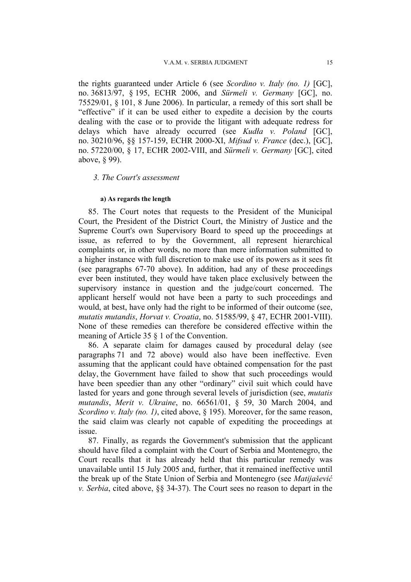the rights guaranteed under Article 6 (see *Scordino v. Italy (no. 1)* [GC], no. 36813/97, § 195, ECHR 2006, and *Sürmeli v. Germany* [GC], no. 75529/01, § 101, 8 June 2006). In particular, a remedy of this sort shall be "effective" if it can be used either to expedite a decision by the courts dealing with the case or to provide the litigant with adequate redress for delays which have already occurred (see *Kudła v. Poland* [GC], no. 30210/96, §§ 157-159, ECHR 2000-XI, *Mifsud v. France* (dec.), [GC], no. 57220/00, § 17, ECHR 2002-VIII, and *Sürmeli v. Germany* [GC], cited above, § 99).

### *3. The Court's assessment*

#### **a) As regards the length**

85. The Court notes that requests to the President of the Municipal Court, the President of the District Court, the Ministry of Justice and the Supreme Court's own Supervisory Board to speed up the proceedings at issue, as referred to by the Government, all represent hierarchical complaints or, in other words, no more than mere information submitted to a higher instance with full discretion to make use of its powers as it sees fit (see paragraphs 67-70 above). In addition, had any of these proceedings ever been instituted, they would have taken place exclusively between the supervisory instance in question and the judge/court concerned. The applicant herself would not have been a party to such proceedings and would, at best, have only had the right to be informed of their outcome (see, *mutatis mutandis*, *Horvat v. Croatia*, no. 51585/99, § 47, ECHR 2001-VIII). None of these remedies can therefore be considered effective within the meaning of Article 35 § 1 of the Convention.

86. A separate claim for damages caused by procedural delay (see paragraphs 71 and 72 above) would also have been ineffective. Even assuming that the applicant could have obtained compensation for the past delay, the Government have failed to show that such proceedings would have been speedier than any other "ordinary" civil suit which could have lasted for years and gone through several levels of jurisdiction (see, *mutatis mutandis*, *Merit v. Ukraine*, no. 66561/01, § 59, 30 March 2004, and *Scordino v. Italy (no. 1)*, cited above, § 195). Moreover, for the same reason, the said claim was clearly not capable of expediting the proceedings at issue.

87. Finally, as regards the Government's submission that the applicant should have filed a complaint with the Court of Serbia and Montenegro, the Court recalls that it has already held that this particular remedy was unavailable until 15 July 2005 and, further, that it remained ineffective until the break up of the State Union of Serbia and Montenegro (see *Matijašević v. Serbia*, cited above, §§ 34-37). The Court sees no reason to depart in the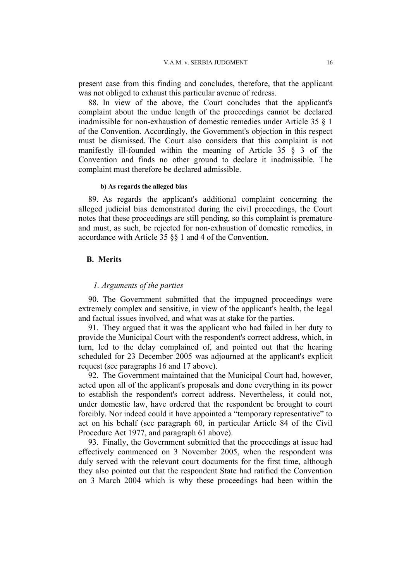present case from this finding and concludes, therefore, that the applicant was not obliged to exhaust this particular avenue of redress.

88. In view of the above, the Court concludes that the applicant's complaint about the undue length of the proceedings cannot be declared inadmissible for non-exhaustion of domestic remedies under Article 35 § 1 of the Convention. Accordingly, the Government's objection in this respect must be dismissed. The Court also considers that this complaint is not manifestly ill-founded within the meaning of Article 35 § 3 of the Convention and finds no other ground to declare it inadmissible. The complaint must therefore be declared admissible.

#### **b) As regards the alleged bias**

89. As regards the applicant's additional complaint concerning the alleged judicial bias demonstrated during the civil proceedings, the Court notes that these proceedings are still pending, so this complaint is premature and must, as such, be rejected for non-exhaustion of domestic remedies, in accordance with Article 35 §§ 1 and 4 of the Convention.

#### **B. Merits**

#### *1. Arguments of the parties*

90. The Government submitted that the impugned proceedings were extremely complex and sensitive, in view of the applicant's health, the legal and factual issues involved, and what was at stake for the parties.

91. They argued that it was the applicant who had failed in her duty to provide the Municipal Court with the respondent's correct address, which, in turn, led to the delay complained of, and pointed out that the hearing scheduled for 23 December 2005 was adjourned at the applicant's explicit request (see paragraphs 16 and 17 above).

92. The Government maintained that the Municipal Court had, however, acted upon all of the applicant's proposals and done everything in its power to establish the respondent's correct address. Nevertheless, it could not, under domestic law, have ordered that the respondent be brought to court forcibly. Nor indeed could it have appointed a "temporary representative" to act on his behalf (see paragraph 60, in particular Article 84 of the Civil Procedure Act 1977, and paragraph 61 above).

93. Finally, the Government submitted that the proceedings at issue had effectively commenced on 3 November 2005, when the respondent was duly served with the relevant court documents for the first time, although they also pointed out that the respondent State had ratified the Convention on 3 March 2004 which is why these proceedings had been within the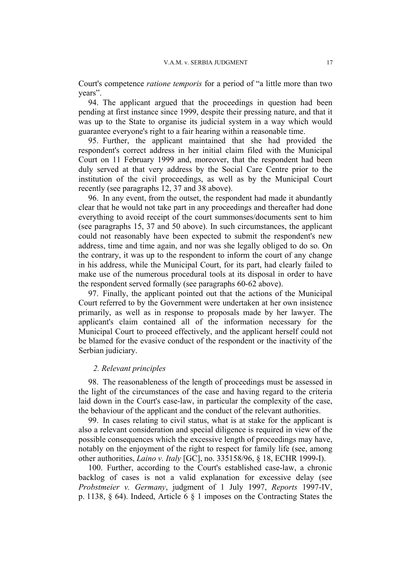Court's competence *ratione temporis* for a period of "a little more than two years".

94. The applicant argued that the proceedings in question had been pending at first instance since 1999, despite their pressing nature, and that it was up to the State to organise its judicial system in a way which would guarantee everyone's right to a fair hearing within a reasonable time.

95. Further, the applicant maintained that she had provided the respondent's correct address in her initial claim filed with the Municipal Court on 11 February 1999 and, moreover, that the respondent had been duly served at that very address by the Social Care Centre prior to the institution of the civil proceedings, as well as by the Municipal Court recently (see paragraphs 12, 37 and 38 above).

96. In any event, from the outset, the respondent had made it abundantly clear that he would not take part in any proceedings and thereafter had done everything to avoid receipt of the court summonses/documents sent to him (see paragraphs 15, 37 and 50 above). In such circumstances, the applicant could not reasonably have been expected to submit the respondent's new address, time and time again, and nor was she legally obliged to do so. On the contrary, it was up to the respondent to inform the court of any change in his address, while the Municipal Court, for its part, had clearly failed to make use of the numerous procedural tools at its disposal in order to have the respondent served formally (see paragraphs 60-62 above).

97. Finally, the applicant pointed out that the actions of the Municipal Court referred to by the Government were undertaken at her own insistence primarily, as well as in response to proposals made by her lawyer. The applicant's claim contained all of the information necessary for the Municipal Court to proceed effectively, and the applicant herself could not be blamed for the evasive conduct of the respondent or the inactivity of the Serbian judiciary.

### *2. Relevant principles*

98. The reasonableness of the length of proceedings must be assessed in the light of the circumstances of the case and having regard to the criteria laid down in the Court's case-law, in particular the complexity of the case, the behaviour of the applicant and the conduct of the relevant authorities.

99. In cases relating to civil status, what is at stake for the applicant is also a relevant consideration and special diligence is required in view of the possible consequences which the excessive length of proceedings may have, notably on the enjoyment of the right to respect for family life (see, among other authorities, *Laino v. Italy* [GC], no. 335158/96, § 18, ECHR 1999-I).

100. Further, according to the Court's established case-law, a chronic backlog of cases is not a valid explanation for excessive delay (see *Probstmeier v. Germany*, judgment of 1 July 1997, *Reports* 1997-IV, p. 1138, § 64). Indeed, Article 6 § 1 imposes on the Contracting States the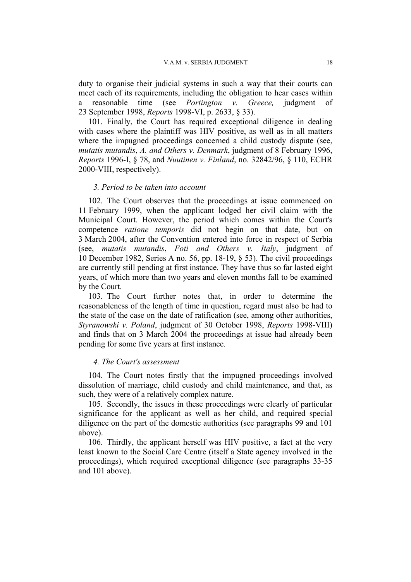duty to organise their judicial systems in such a way that their courts can meet each of its requirements, including the obligation to hear cases within a reasonable time (see *Portington v. Greece,* judgment of 23 September 1998, *Reports* 1998-VI, p. 2633, § 33).

101. Finally, the Court has required exceptional diligence in dealing with cases where the plaintiff was HIV positive, as well as in all matters where the impugned proceedings concerned a child custody dispute (see, *mutatis mutandis*, *A. and Others v. Denmark*, judgment of 8 February 1996, *Reports* 1996-I, § 78, and *Nuutinen v. Finland*, no. 32842/96, § 110, ECHR 2000-VIII, respectively).

#### *3. Period to be taken into account*

102. The Court observes that the proceedings at issue commenced on 11 February 1999, when the applicant lodged her civil claim with the Municipal Court. However, the period which comes within the Court's competence *ratione temporis* did not begin on that date, but on 3 March 2004, after the Convention entered into force in respect of Serbia (see, *mutatis mutandis*, *Foti and Others v. Italy*, judgment of 10 December 1982, Series A no. 56, pp. 18-19, § 53). The civil proceedings are currently still pending at first instance. They have thus so far lasted eight years, of which more than two years and eleven months fall to be examined by the Court.

103. The Court further notes that, in order to determine the reasonableness of the length of time in question, regard must also be had to the state of the case on the date of ratification (see, among other authorities, *Styranowski v. Poland*, judgment of 30 October 1998, *Reports* 1998-VIII) and finds that on 3 March 2004 the proceedings at issue had already been pending for some five years at first instance.

### *4. The Court's assessment*

104. The Court notes firstly that the impugned proceedings involved dissolution of marriage, child custody and child maintenance, and that, as such, they were of a relatively complex nature.

105. Secondly, the issues in these proceedings were clearly of particular significance for the applicant as well as her child, and required special diligence on the part of the domestic authorities (see paragraphs 99 and 101 above).

106. Thirdly, the applicant herself was HIV positive, a fact at the very least known to the Social Care Centre (itself a State agency involved in the proceedings), which required exceptional diligence (see paragraphs 33-35 and 101 above).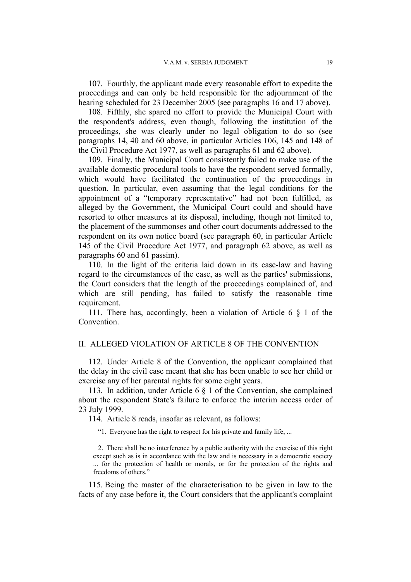107. Fourthly, the applicant made every reasonable effort to expedite the proceedings and can only be held responsible for the adjournment of the hearing scheduled for 23 December 2005 (see paragraphs 16 and 17 above).

108. Fifthly, she spared no effort to provide the Municipal Court with the respondent's address, even though, following the institution of the proceedings, she was clearly under no legal obligation to do so (see paragraphs 14, 40 and 60 above, in particular Articles 106, 145 and 148 of the Civil Procedure Act 1977, as well as paragraphs 61 and 62 above).

109. Finally, the Municipal Court consistently failed to make use of the available domestic procedural tools to have the respondent served formally, which would have facilitated the continuation of the proceedings in question. In particular, even assuming that the legal conditions for the appointment of a "temporary representative" had not been fulfilled, as alleged by the Government, the Municipal Court could and should have resorted to other measures at its disposal, including, though not limited to, the placement of the summonses and other court documents addressed to the respondent on its own notice board (see paragraph 60, in particular Article 145 of the Civil Procedure Act 1977, and paragraph 62 above, as well as paragraphs 60 and 61 passim).

110. In the light of the criteria laid down in its case-law and having regard to the circumstances of the case, as well as the parties' submissions, the Court considers that the length of the proceedings complained of, and which are still pending, has failed to satisfy the reasonable time requirement.

111. There has, accordingly, been a violation of Article 6 § 1 of the Convention.

# II. ALLEGED VIOLATION OF ARTICLE 8 OF THE CONVENTION

112. Under Article 8 of the Convention, the applicant complained that the delay in the civil case meant that she has been unable to see her child or exercise any of her parental rights for some eight years.

113. In addition, under Article 6 § 1 of the Convention, she complained about the respondent State's failure to enforce the interim access order of 23 July 1999.

114. Article 8 reads, insofar as relevant, as follows:

"1. Everyone has the right to respect for his private and family life, ...

2. There shall be no interference by a public authority with the exercise of this right except such as is in accordance with the law and is necessary in a democratic society ... for the protection of health or morals, or for the protection of the rights and freedoms of others."

115. Being the master of the characterisation to be given in law to the facts of any case before it, the Court considers that the applicant's complaint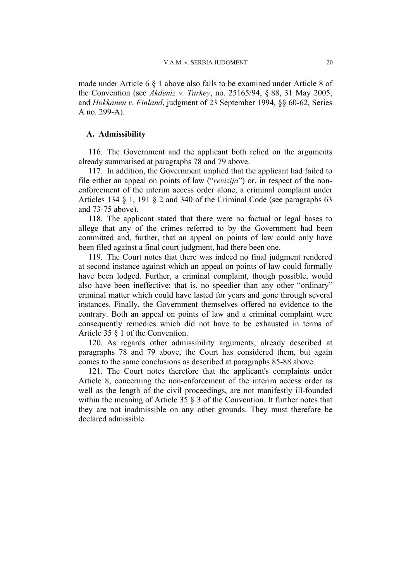made under Article 6 § 1 above also falls to be examined under Article 8 of the Convention (see *Akdeniz v. Turkey*, no. 25165/94, § 88, 31 May 2005, and *Hokkanen v. Finland*, judgment of 23 September 1994, §§ 60-62, Series A no. 299-A).

# **A. Admissibility**

116. The Government and the applicant both relied on the arguments already summarised at paragraphs 78 and 79 above.

117. In addition, the Government implied that the applicant had failed to file either an appeal on points of law ("*revizija*") or, in respect of the nonenforcement of the interim access order alone, a criminal complaint under Articles 134 § 1, 191 § 2 and 340 of the Criminal Code (see paragraphs 63 and 73-75 above).

118. The applicant stated that there were no factual or legal bases to allege that any of the crimes referred to by the Government had been committed and, further, that an appeal on points of law could only have been filed against a final court judgment, had there been one.

119. The Court notes that there was indeed no final judgment rendered at second instance against which an appeal on points of law could formally have been lodged. Further, a criminal complaint, though possible, would also have been ineffective: that is, no speedier than any other "ordinary" criminal matter which could have lasted for years and gone through several instances. Finally, the Government themselves offered no evidence to the contrary. Both an appeal on points of law and a criminal complaint were consequently remedies which did not have to be exhausted in terms of Article 35 § 1 of the Convention.

120. As regards other admissibility arguments, already described at paragraphs 78 and 79 above, the Court has considered them, but again comes to the same conclusions as described at paragraphs 85-88 above.

121. The Court notes therefore that the applicant's complaints under Article 8, concerning the non-enforcement of the interim access order as well as the length of the civil proceedings, are not manifestly ill-founded within the meaning of Article 35  $\S$  3 of the Convention. It further notes that they are not inadmissible on any other grounds. They must therefore be declared admissible.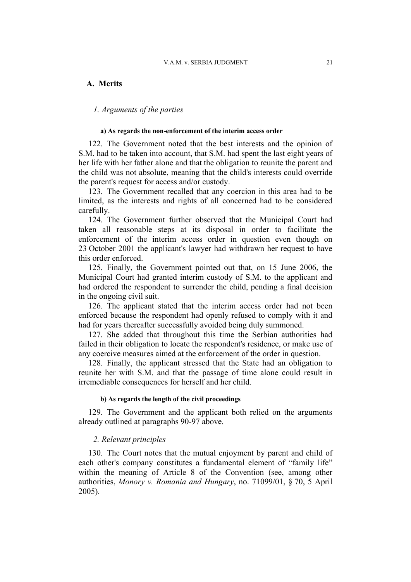# **A. Merits**

### *1. Arguments of the parties*

#### **a) As regards the non-enforcement of the interim access order**

122. The Government noted that the best interests and the opinion of S.M. had to be taken into account, that S.M. had spent the last eight years of her life with her father alone and that the obligation to reunite the parent and the child was not absolute, meaning that the child's interests could override the parent's request for access and/or custody.

123. The Government recalled that any coercion in this area had to be limited, as the interests and rights of all concerned had to be considered carefully.

124. The Government further observed that the Municipal Court had taken all reasonable steps at its disposal in order to facilitate the enforcement of the interim access order in question even though on 23 October 2001 the applicant's lawyer had withdrawn her request to have this order enforced.

125. Finally, the Government pointed out that, on 15 June 2006, the Municipal Court had granted interim custody of S.M. to the applicant and had ordered the respondent to surrender the child, pending a final decision in the ongoing civil suit.

126. The applicant stated that the interim access order had not been enforced because the respondent had openly refused to comply with it and had for years thereafter successfully avoided being duly summoned.

127. She added that throughout this time the Serbian authorities had failed in their obligation to locate the respondent's residence, or make use of any coercive measures aimed at the enforcement of the order in question.

128. Finally, the applicant stressed that the State had an obligation to reunite her with S.M. and that the passage of time alone could result in irremediable consequences for herself and her child.

#### **b) As regards the length of the civil proceedings**

129. The Government and the applicant both relied on the arguments already outlined at paragraphs 90-97 above.

### *2. Relevant principles*

130. The Court notes that the mutual enjoyment by parent and child of each other's company constitutes a fundamental element of "family life" within the meaning of Article 8 of the Convention (see, among other authorities, *Monory v. Romania and Hungary*, no. 71099/01, § 70, 5 April 2005).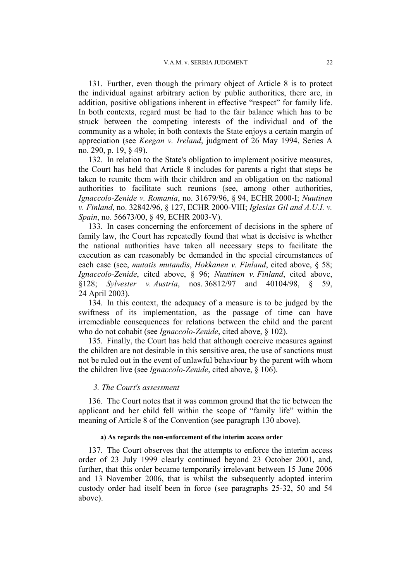131. Further, even though the primary object of Article 8 is to protect the individual against arbitrary action by public authorities, there are, in addition, positive obligations inherent in effective "respect" for family life. In both contexts, regard must be had to the fair balance which has to be struck between the competing interests of the individual and of the community as a whole; in both contexts the State enjoys a certain margin of appreciation (see *Keegan v. Ireland*, judgment of 26 May 1994, Series A no. 290, p. 19, § 49).

132. In relation to the State's obligation to implement positive measures, the Court has held that Article 8 includes for parents a right that steps be taken to reunite them with their children and an obligation on the national authorities to facilitate such reunions (see, among other authorities, *Ignaccolo-Zenide v. Romania*, no. 31679/96, § 94, ECHR 2000-I; *Nuutinen v. Finland*, no. 32842/96, § 127, ECHR 2000-VIII; *Iglesias Gil and A.U.I. v. Spain*, no. 56673/00, § 49, ECHR 2003-V).

133. In cases concerning the enforcement of decisions in the sphere of family law, the Court has repeatedly found that what is decisive is whether the national authorities have taken all necessary steps to facilitate the execution as can reasonably be demanded in the special circumstances of each case (see, *mutatis mutandis*, *Hokkanen v. Finland*, cited above, § 58; *Ignaccolo-Zenide*, cited above, § 96; *Nuutinen v. Finland*, cited above, §128; *Sylvester v. Austria*, nos. 36812/97 and 40104/98, § 59, 24 April 2003).

134. In this context, the adequacy of a measure is to be judged by the swiftness of its implementation, as the passage of time can have irremediable consequences for relations between the child and the parent who do not cohabit (see *Ignaccolo-Zenide*, cited above, § 102).

135. Finally, the Court has held that although coercive measures against the children are not desirable in this sensitive area, the use of sanctions must not be ruled out in the event of unlawful behaviour by the parent with whom the children live (see *Ignaccolo-Zenide*, cited above, § 106).

#### *3. The Court's assessment*

136. The Court notes that it was common ground that the tie between the applicant and her child fell within the scope of "family life" within the meaning of Article 8 of the Convention (see paragraph 130 above).

#### **a) As regards the non-enforcement of the interim access order**

137. The Court observes that the attempts to enforce the interim access order of 23 July 1999 clearly continued beyond 23 October 2001, and, further, that this order became temporarily irrelevant between 15 June 2006 and 13 November 2006, that is whilst the subsequently adopted interim custody order had itself been in force (see paragraphs 25-32, 50 and 54 above).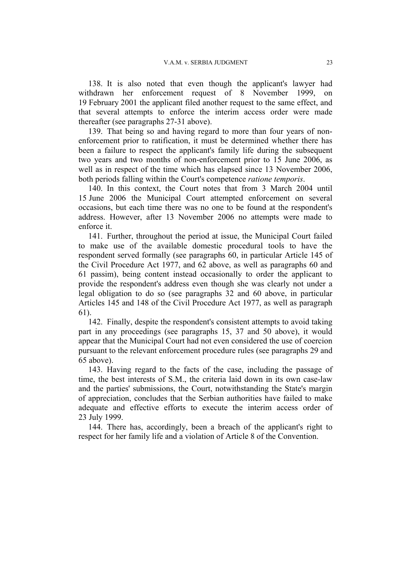138. It is also noted that even though the applicant's lawyer had withdrawn her enforcement request of 8 November 1999, on 19 February 2001 the applicant filed another request to the same effect, and that several attempts to enforce the interim access order were made thereafter (see paragraphs 27-31 above).

139. That being so and having regard to more than four years of nonenforcement prior to ratification, it must be determined whether there has been a failure to respect the applicant's family life during the subsequent two years and two months of non-enforcement prior to 15 June 2006, as well as in respect of the time which has elapsed since 13 November 2006, both periods falling within the Court's competence *ratione temporis*.

140. In this context, the Court notes that from 3 March 2004 until 15 June 2006 the Municipal Court attempted enforcement on several occasions, but each time there was no one to be found at the respondent's address. However, after 13 November 2006 no attempts were made to enforce it.

141. Further, throughout the period at issue, the Municipal Court failed to make use of the available domestic procedural tools to have the respondent served formally (see paragraphs 60, in particular Article 145 of the Civil Procedure Act 1977, and 62 above, as well as paragraphs 60 and 61 passim), being content instead occasionally to order the applicant to provide the respondent's address even though she was clearly not under a legal obligation to do so (see paragraphs 32 and 60 above, in particular Articles 145 and 148 of the Civil Procedure Act 1977, as well as paragraph 61).

142. Finally, despite the respondent's consistent attempts to avoid taking part in any proceedings (see paragraphs 15, 37 and 50 above), it would appear that the Municipal Court had not even considered the use of coercion pursuant to the relevant enforcement procedure rules (see paragraphs 29 and 65 above).

143. Having regard to the facts of the case, including the passage of time, the best interests of S.M., the criteria laid down in its own case-law and the parties' submissions, the Court, notwithstanding the State's margin of appreciation, concludes that the Serbian authorities have failed to make adequate and effective efforts to execute the interim access order of 23 July 1999.

144. There has, accordingly, been a breach of the applicant's right to respect for her family life and a violation of Article 8 of the Convention.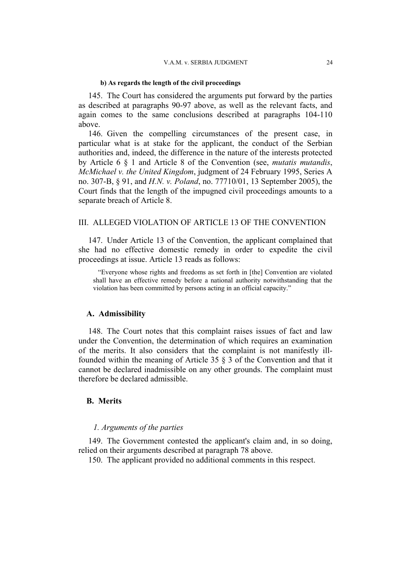#### **b) As regards the length of the civil proceedings**

145. The Court has considered the arguments put forward by the parties as described at paragraphs 90-97 above, as well as the relevant facts, and again comes to the same conclusions described at paragraphs 104-110 above.

146. Given the compelling circumstances of the present case, in particular what is at stake for the applicant, the conduct of the Serbian authorities and, indeed, the difference in the nature of the interests protected by Article 6 § 1 and Article 8 of the Convention (see, *mutatis mutandis*, *McMichael v. the United Kingdom*, judgment of 24 February 1995, Series A no. 307-B, § 91, and *H.N. v. Poland*, no. 77710/01, 13 September 2005), the Court finds that the length of the impugned civil proceedings amounts to a separate breach of Article 8.

# III. ALLEGED VIOLATION OF ARTICLE 13 OF THE CONVENTION

147. Under Article 13 of the Convention, the applicant complained that she had no effective domestic remedy in order to expedite the civil proceedings at issue. Article 13 reads as follows:

"Everyone whose rights and freedoms as set forth in [the] Convention are violated shall have an effective remedy before a national authority notwithstanding that the violation has been committed by persons acting in an official capacity."

#### **A. Admissibility**

148. The Court notes that this complaint raises issues of fact and law under the Convention, the determination of which requires an examination of the merits. It also considers that the complaint is not manifestly illfounded within the meaning of Article 35 § 3 of the Convention and that it cannot be declared inadmissible on any other grounds. The complaint must therefore be declared admissible.

# **B. Merits**

# *1. Arguments of the parties*

149. The Government contested the applicant's claim and, in so doing, relied on their arguments described at paragraph 78 above.

150. The applicant provided no additional comments in this respect.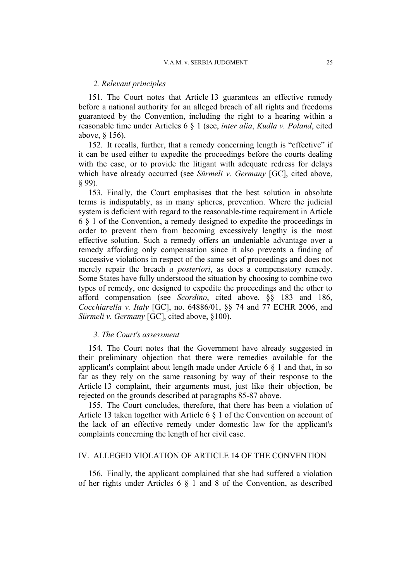#### *2. Relevant principles*

151. The Court notes that Article 13 guarantees an effective remedy before a national authority for an alleged breach of all rights and freedoms guaranteed by the Convention, including the right to a hearing within a reasonable time under Articles 6 § 1 (see, *inter alia*, *Kudła v. Poland*, cited above, § 156).

152. It recalls, further, that a remedy concerning length is "effective" if it can be used either to expedite the proceedings before the courts dealing with the case, or to provide the litigant with adequate redress for delays which have already occurred (see *Sürmeli v. Germany* [GC], cited above, § 99).

153. Finally, the Court emphasises that the best solution in absolute terms is indisputably, as in many spheres, prevention. Where the judicial system is deficient with regard to the reasonable-time requirement in Article 6 § 1 of the Convention, a remedy designed to expedite the proceedings in order to prevent them from becoming excessively lengthy is the most effective solution. Such a remedy offers an undeniable advantage over a remedy affording only compensation since it also prevents a finding of successive violations in respect of the same set of proceedings and does not merely repair the breach *a posteriori*, as does a compensatory remedy. Some States have fully understood the situation by choosing to combine two types of remedy, one designed to expedite the proceedings and the other to afford compensation (see *Scordino*, cited above, §§ 183 and 186, *Cocchiarella v. Italy* [GC], no. 64886/01, §§ 74 and 77 ECHR 2006, and *Sürmeli v. Germany* [GC], cited above, §100).

# *3. The Court's assessment*

154. The Court notes that the Government have already suggested in their preliminary objection that there were remedies available for the applicant's complaint about length made under Article 6 § 1 and that, in so far as they rely on the same reasoning by way of their response to the Article 13 complaint, their arguments must, just like their objection, be rejected on the grounds described at paragraphs 85-87 above.

155. The Court concludes, therefore, that there has been a violation of Article 13 taken together with Article 6 § 1 of the Convention on account of the lack of an effective remedy under domestic law for the applicant's complaints concerning the length of her civil case.

#### IV. ALLEGED VIOLATION OF ARTICLE 14 OF THE CONVENTION

156. Finally, the applicant complained that she had suffered a violation of her rights under Articles 6 § 1 and 8 of the Convention, as described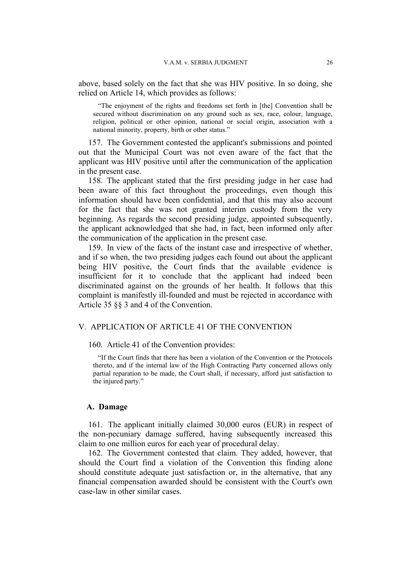above, based solely on the fact that she was HIV positive. In so doing, she relied on Article 14, which provides as follows:

"The enjoyment of the rights and freedoms set forth in [the] Convention shall be secured without discrimination on any ground such as sex, race, colour, language, religion, political or other opinion, national or social origin, association with a national minority, property, birth or other status."

157. The Government contested the applicant's submissions and pointed out that the Municipal Court was not even aware of the fact that the applicant was HIV positive until after the communication of the application in the present case.

158. The applicant stated that the first presiding judge in her case had been aware of this fact throughout the proceedings, even though this information should have been confidential, and that this may also account for the fact that she was not granted interim custody from the very beginning. As regards the second presiding judge, appointed subsequently, the applicant acknowledged that she had, in fact, been informed only after the communication of the application in the present case.

159. In view of the facts of the instant case and irrespective of whether, and if so when, the two presiding judges each found out about the applicant being HIV positive, the Court finds that the available evidence is insufficient for it to conclude that the applicant had indeed been discriminated against on the grounds of her health. It follows that this complaint is manifestly ill-founded and must be rejected in accordance with Article 35 §§ 3 and 4 of the Convention.

### V. APPLICATION OF ARTICLE 41 OF THE CONVENTION

160. Article 41 of the Convention provides:

"If the Court finds that there has been a violation of the Convention or the Protocols thereto, and if the internal law of the High Contracting Party concerned allows only partial reparation to be made, the Court shall, if necessary, afford just satisfaction to the injured party."

#### **A. Damage**

161. The applicant initially claimed 30,000 euros (EUR) in respect of the non-pecuniary damage suffered, having subsequently increased this claim to one million euros for each year of procedural delay.

162. The Government contested that claim. They added, however, that should the Court find a violation of the Convention this finding alone should constitute adequate just satisfaction or, in the alternative, that any financial compensation awarded should be consistent with the Court's own case-law in other similar cases.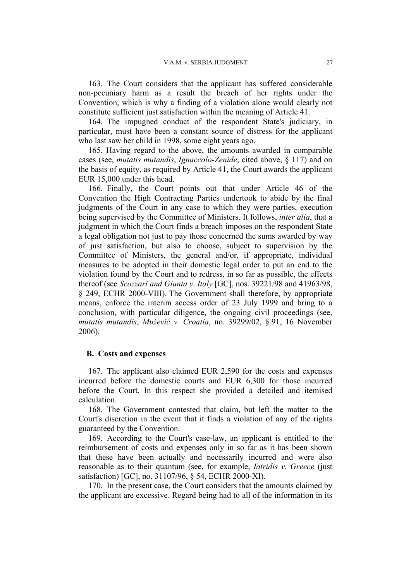163. The Court considers that the applicant has suffered considerable non-pecuniary harm as a result the breach of her rights under the Convention, which is why a finding of a violation alone would clearly not constitute sufficient just satisfaction within the meaning of Article 41.

164. The impugned conduct of the respondent State's judiciary, in particular, must have been a constant source of distress for the applicant who last saw her child in 1998, some eight years ago.

165. Having regard to the above, the amounts awarded in comparable cases (see, *mutatis mutandis*, *Ignaccolo-Zenide*, cited above, § 117) and on the basis of equity, as required by Article 41, the Court awards the applicant EUR 15,000 under this head.

166. Finally, the Court points out that under Article 46 of the Convention the High Contracting Parties undertook to abide by the final judgments of the Court in any case to which they were parties, execution being supervised by the Committee of Ministers. It follows, *inter alia*, that a judgment in which the Court finds a breach imposes on the respondent State a legal obligation not just to pay those concerned the sums awarded by way of just satisfaction, but also to choose, subject to supervision by the Committee of Ministers, the general and/or, if appropriate, individual measures to be adopted in their domestic legal order to put an end to the violation found by the Court and to redress, in so far as possible, the effects thereof (see *Scozzari and Giunta v. Italy* [GC], nos. 39221/98 and 41963/98, § 249, ECHR 2000-VIII). The Government shall therefore, by appropriate means, enforce the interim access order of 23 July 1999 and bring to a conclusion, with particular diligence, the ongoing civil proceedings (see, *mutatis mutandis*, *Mužević v. Croatia*, no. 39299/02, § 91, 16 November 2006).

### **B. Costs and expenses**

167. The applicant also claimed EUR 2,590 for the costs and expenses incurred before the domestic courts and EUR 6,300 for those incurred before the Court. In this respect she provided a detailed and itemised calculation.

168. The Government contested that claim, but left the matter to the Court's discretion in the event that it finds a violation of any of the rights guaranteed by the Convention.

169. According to the Court's case-law, an applicant is entitled to the reimbursement of costs and expenses only in so far as it has been shown that these have been actually and necessarily incurred and were also reasonable as to their quantum (see, for example, *Iatridis v. Greece* (just satisfaction) [GC], no. 31107/96, § 54, ECHR 2000-XI).

170. In the present case, the Court considers that the amounts claimed by the applicant are excessive. Regard being had to all of the information in its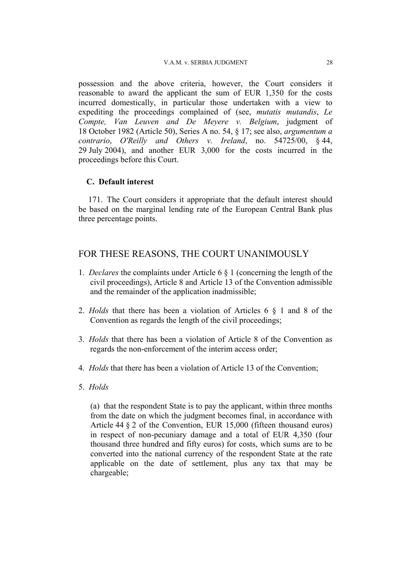possession and the above criteria, however, the Court considers it reasonable to award the applicant the sum of EUR 1,350 for the costs incurred domestically, in particular those undertaken with a view to expediting the proceedings complained of (see, *mutatis mutandis*, *Le Compte, Van Leuven and De Meyere v. Belgium*, judgment of 18 October 1982 (Article 50), Series A no. 54, § 17; see also, *argumentum a contrario*, *O'Reilly and Others v. Ireland*, no. 54725/00, § 44, 29 July 2004), and another EUR 3,000 for the costs incurred in the proceedings before this Court.

# **C. Default interest**

171. The Court considers it appropriate that the default interest should be based on the marginal lending rate of the European Central Bank plus three percentage points.

# FOR THESE REASONS, THE COURT UNANIMOUSLY

- 1. *Declares* the complaints under Article 6 § 1 (concerning the length of the civil proceedings), Article 8 and Article 13 of the Convention admissible and the remainder of the application inadmissible;
- 2. *Holds* that there has been a violation of Articles 6 § 1 and 8 of the Convention as regards the length of the civil proceedings;
- 3. *Holds* that there has been a violation of Article 8 of the Convention as regards the non-enforcement of the interim access order;
- 4. *Holds* that there has been a violation of Article 13 of the Convention;
- 5. *Holds*

(a) that the respondent State is to pay the applicant, within three months from the date on which the judgment becomes final, in accordance with Article 44 § 2 of the Convention, EUR 15,000 (fifteen thousand euros) in respect of non-pecuniary damage and a total of EUR 4,350 (four thousand three hundred and fifty euros) for costs, which sums are to be converted into the national currency of the respondent State at the rate applicable on the date of settlement, plus any tax that may be chargeable;